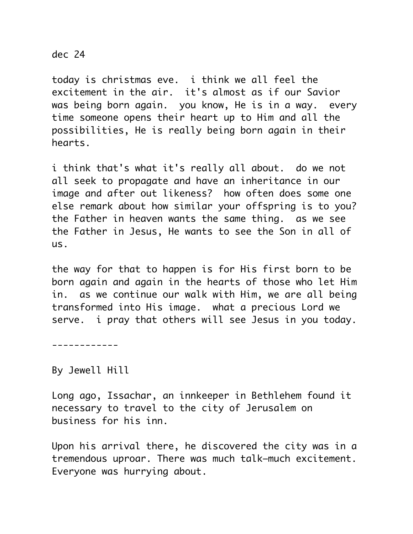## dec 24

today is christmas eve. i think we all feel the excitement in the air. it's almost as if our Savior was being born again. you know, He is in a way. every time someone opens their heart up to Him and all the possibilities, He is really being born again in their hearts.

i think that's what it's really all about. do we not all seek to propagate and have an inheritance in our image and after out likeness? how often does some one else remark about how similar your offspring is to you? the Father in heaven wants the same thing. as we see the Father in Jesus, He wants to see the Son in all of us.

the way for that to happen is for His first born to be born again and again in the hearts of those who let Him in. as we continue our walk with Him, we are all being transformed into His image. what a precious Lord we serve. i pray that others will see Jesus in you today.

------------

By Jewell Hill

Long ago, Issachar, an innkeeper in Bethlehem found it necessary to travel to the city of Jerusalem on business for his inn.

Upon his arrival there, he discovered the city was in a tremendous uproar. There was much talk–much excitement. Everyone was hurrying about.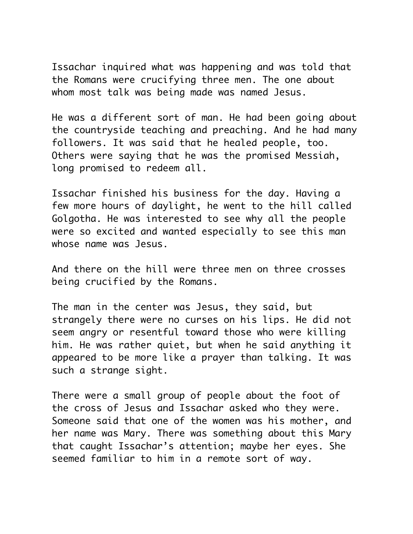Issachar inquired what was happening and was told that the Romans were crucifying three men. The one about whom most talk was being made was named Jesus.

He was a different sort of man. He had been going about the countryside teaching and preaching. And he had many followers. It was said that he healed people, too. Others were saying that he was the promised Messiah, long promised to redeem all.

Issachar finished his business for the day. Having a few more hours of daylight, he went to the hill called Golgotha. He was interested to see why all the people were so excited and wanted especially to see this man whose name was Jesus.

And there on the hill were three men on three crosses being crucified by the Romans.

The man in the center was Jesus, they said, but strangely there were no curses on his lips. He did not seem angry or resentful toward those who were killing him. He was rather quiet, but when he said anything it appeared to be more like a prayer than talking. It was such a strange sight.

There were a small group of people about the foot of the cross of Jesus and Issachar asked who they were. Someone said that one of the women was his mother, and her name was Mary. There was something about this Mary that caught Issachar's attention; maybe her eyes. She seemed familiar to him in a remote sort of way.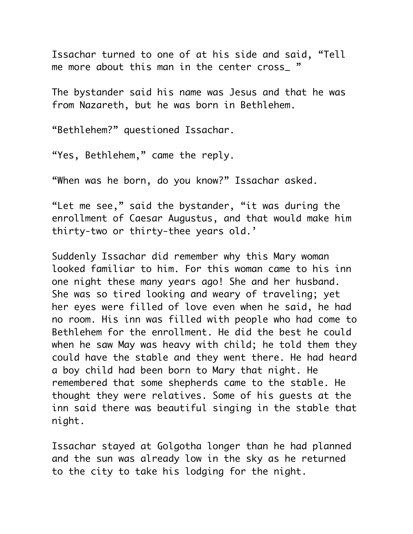Issachar turned to one of at his side and said, "Tell me more about this man in the center cross "

The bystander said his name was Jesus and that he was from Nazareth, but he was born in Bethlehem.

"Bethlehem?" questioned Issachar.

"Yes, Bethlehem," came the reply.

"When was he born, do you know?" Issachar asked.

"Let me see," said the bystander, "it was during the enrollment of Caesar Augustus, and that would make him thirty-two or thirty-thee years old.'

Suddenly Issachar did remember why this Mary woman looked familiar to him. For this woman came to his inn one night these many years ago! She and her husband. She was so tired looking and weary of traveling; yet her eyes were filled of love even when he said, he had no room. His inn was filled with people who had come to Bethlehem for the enrollment. He did the best he could when he saw May was heavy with child; he told them they could have the stable and they went there. He had heard a boy child had been born to Mary that night. He remembered that some shepherds came to the stable. He thought they were relatives. Some of his guests at the inn said there was beautiful singing in the stable that night.

Issachar stayed at Golgotha longer than he had planned and the sun was already low in the sky as he returned to the city to take his lodging for the night.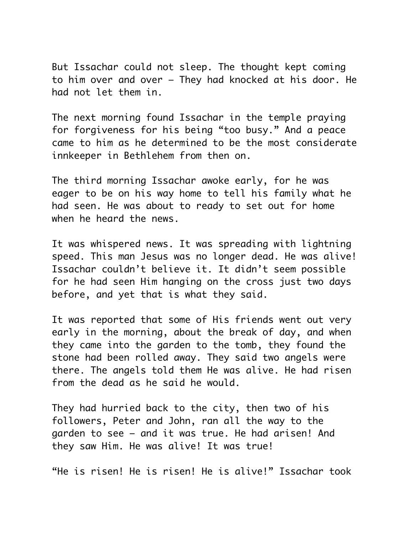But Issachar could not sleep. The thought kept coming to him over and over – They had knocked at his door. He had not let them in.

The next morning found Issachar in the temple praying for forgiveness for his being "too busy." And a peace came to him as he determined to be the most considerate innkeeper in Bethlehem from then on.

The third morning Issachar awoke early, for he was eager to be on his way home to tell his family what he had seen. He was about to ready to set out for home when he heard the news.

It was whispered news. It was spreading with lightning speed. This man Jesus was no longer dead. He was alive! Issachar couldn't believe it. It didn't seem possible for he had seen Him hanging on the cross just two days before, and yet that is what they said.

It was reported that some of His friends went out very early in the morning, about the break of day, and when they came into the garden to the tomb, they found the stone had been rolled away. They said two angels were there. The angels told them He was alive. He had risen from the dead as he said he would.

They had hurried back to the city, then two of his followers, Peter and John, ran all the way to the garden to see – and it was true. He had arisen! And they saw Him. He was alive! It was true!

"He is risen! He is risen! He is alive!" Issachar took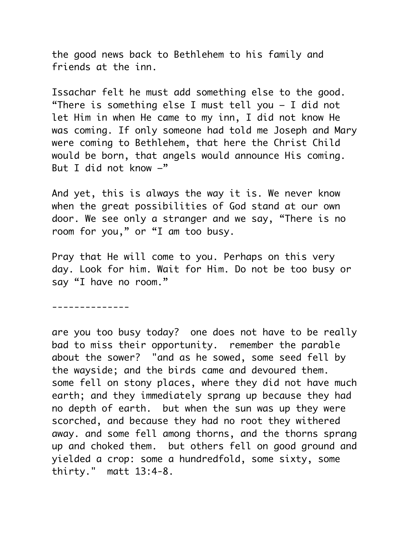the good news back to Bethlehem to his family and friends at the inn.

Issachar felt he must add something else to the good. "There is something else I must tell you – I did not let Him in when He came to my inn, I did not know He was coming. If only someone had told me Joseph and Mary were coming to Bethlehem, that here the Christ Child would be born, that angels would announce His coming. But I did not know  $-$ "

And yet, this is always the way it is. We never know when the great possibilities of God stand at our own door. We see only a stranger and we say, "There is no room for you," or "I am too busy.

Pray that He will come to you. Perhaps on this very day. Look for him. Wait for Him. Do not be too busy or say "I have no room."

--------------

are you too busy today? one does not have to be really bad to miss their opportunity. remember the parable about the sower? "and as he sowed, some seed fell by the wayside; and the birds came and devoured them. some fell on stony places, where they did not have much earth; and they immediately sprang up because they had no depth of earth. but when the sun was up they were scorched, and because they had no root they withered away. and some fell among thorns, and the thorns sprang up and choked them. but others fell on good ground and yielded a crop: some a hundredfold, some sixty, some thirty." matt 13:4-8.